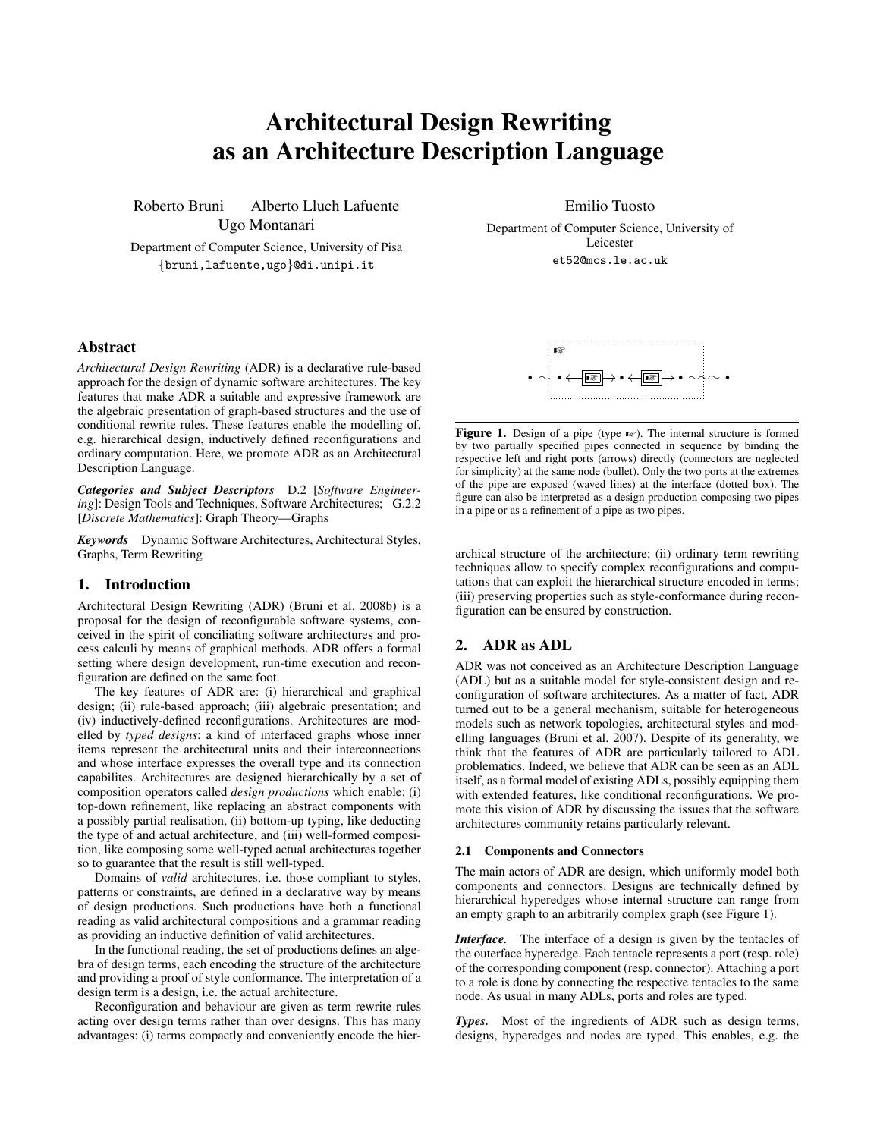# Architectural Design Rewriting as an Architecture Description Language

Roberto Bruni Alberto Lluch Lafuente Ugo Montanari

Department of Computer Science, University of Pisa {bruni,lafuente,ugo}@di.unipi.it

Emilio Tuosto Department of Computer Science, University of Leicester

et52@mcs.le.ac.uk

## Abstract

*Architectural Design Rewriting* (ADR) is a declarative rule-based approach for the design of dynamic software architectures. The key features that make ADR a suitable and expressive framework are the algebraic presentation of graph-based structures and the use of conditional rewrite rules. These features enable the modelling of, e.g. hierarchical design, inductively defined reconfigurations and ordinary computation. Here, we promote ADR as an Architectural Description Language.

*Categories and Subject Descriptors* D.2 [*Software Engineering*]: Design Tools and Techniques, Software Architectures; G.2.2 [*Discrete Mathematics*]: Graph Theory—Graphs

*Keywords* Dynamic Software Architectures, Architectural Styles, Graphs, Term Rewriting

## 1. Introduction

Architectural Design Rewriting (ADR) (Bruni et al. 2008b) is a proposal for the design of reconfigurable software systems, conceived in the spirit of conciliating software architectures and process calculi by means of graphical methods. ADR offers a formal setting where design development, run-time execution and reconfiguration are defined on the same foot.

The key features of ADR are: (i) hierarchical and graphical design; (ii) rule-based approach; (iii) algebraic presentation; and (iv) inductively-defined reconfigurations. Architectures are modelled by *typed designs*: a kind of interfaced graphs whose inner items represent the architectural units and their interconnections and whose interface expresses the overall type and its connection capabilites. Architectures are designed hierarchically by a set of composition operators called *design productions* which enable: (i) top-down refinement, like replacing an abstract components with a possibly partial realisation, (ii) bottom-up typing, like deducting the type of and actual architecture, and (iii) well-formed composition, like composing some well-typed actual architectures together so to guarantee that the result is still well-typed.

Domains of *valid* architectures, i.e. those compliant to styles, patterns or constraints, are defined in a declarative way by means of design productions. Such productions have both a functional reading as valid architectural compositions and a grammar reading as providing an inductive definition of valid architectures.

In the functional reading, the set of productions defines an algebra of design terms, each encoding the structure of the architecture and providing a proof of style conformance. The interpretation of a design term is a design, i.e. the actual architecture.

Reconfiguration and behaviour are given as term rewrite rules acting over design terms rather than over designs. This has many advantages: (i) terms compactly and conveniently encode the hier-



Figure 1. Design of a pipe (type  $\bullet\$ ). The internal structure is formed by two partially specified pipes connected in sequence by binding the respective left and right ports (arrows) directly (connectors are neglected for simplicity) at the same node (bullet). Only the two ports at the extremes of the pipe are exposed (waved lines) at the interface (dotted box). The figure can also be interpreted as a design production composing two pipes in a pipe or as a refinement of a pipe as two pipes.

archical structure of the architecture; (ii) ordinary term rewriting techniques allow to specify complex reconfigurations and computations that can exploit the hierarchical structure encoded in terms; (iii) preserving properties such as style-conformance during reconfiguration can be ensured by construction.

## 2. ADR as ADL

ADR was not conceived as an Architecture Description Language (ADL) but as a suitable model for style-consistent design and reconfiguration of software architectures. As a matter of fact, ADR turned out to be a general mechanism, suitable for heterogeneous models such as network topologies, architectural styles and modelling languages (Bruni et al. 2007). Despite of its generality, we think that the features of ADR are particularly tailored to ADL problematics. Indeed, we believe that ADR can be seen as an ADL itself, as a formal model of existing ADLs, possibly equipping them with extended features, like conditional reconfigurations. We promote this vision of ADR by discussing the issues that the software architectures community retains particularly relevant.

#### 2.1 Components and Connectors

The main actors of ADR are design, which uniformly model both components and connectors. Designs are technically defined by hierarchical hyperedges whose internal structure can range from an empty graph to an arbitrarily complex graph (see Figure 1).

*Interface.* The interface of a design is given by the tentacles of the outerface hyperedge. Each tentacle represents a port (resp. role) of the corresponding component (resp. connector). Attaching a port to a role is done by connecting the respective tentacles to the same node. As usual in many ADLs, ports and roles are typed.

*Types.* Most of the ingredients of ADR such as design terms, designs, hyperedges and nodes are typed. This enables, e.g. the